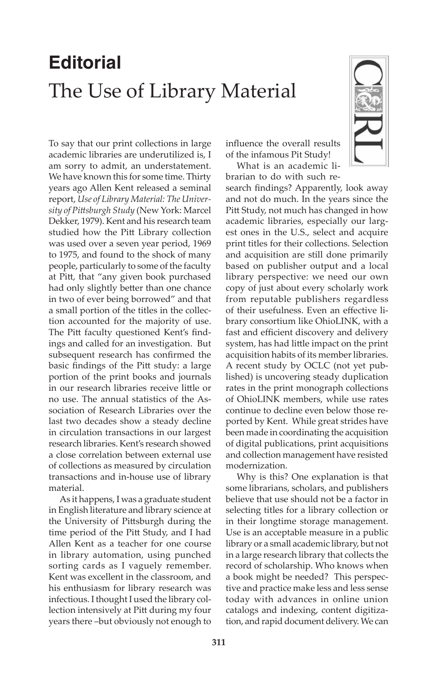## **Editorial** The Use of Library Material

To say that our print collections in large academic libraries are underutilized is, I am sorry to admit, an understatement. We have known this for some time. Thirty years ago Allen Kent released a seminal report, *Use of Library Material: The University of Pittsburgh Study* (New York: Marcel Dekker, 1979). Kent and his research team studied how the Pitt Library collection was used over a seven year period, 1969 to 1975, and found to the shock of many people, particularly to some of the faculty at Pitt, that "any given book purchased had only slightly better than one chance in two of ever being borrowed" and that a small portion of the titles in the collection accounted for the majority of use. The Pitt faculty questioned Kent's findings and called for an investigation. But subsequent research has confirmed the basic findings of the Pitt study: a large portion of the print books and journals in our research libraries receive little or no use. The annual statistics of the Association of Research Libraries over the last two decades show a steady decline in circulation transactions in our largest research libraries. Kent's research showed a close correlation between external use of collections as measured by circulation transactions and in-house use of library material.

As it happens, I was a graduate student in English literature and library science at the University of Pittsburgh during the time period of the Pitt Study, and I had Allen Kent as a teacher for one course in library automation, using punched sorting cards as I vaguely remember. Kent was excellent in the classroom, and his enthusiasm for library research was infectious. I thought I used the library collection intensively at Pitt during my four years there –but obviously not enough to

influence the overall results of the infamous Pit Study!

What is an academic librarian to do with such re-



Why is this? One explanation is that some librarians, scholars, and publishers believe that use should not be a factor in selecting titles for a library collection or in their longtime storage management. Use is an acceptable measure in a public library or a small academic library, but not in a large research library that collects the record of scholarship. Who knows when a book might be needed? This perspective and practice make less and less sense today with advances in online union catalogs and indexing, content digitization, and rapid document delivery. We can